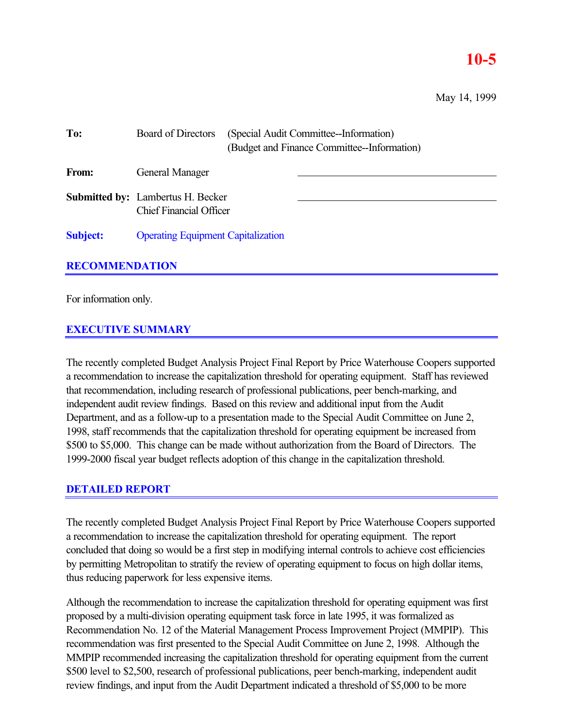## **10-5**

May 14, 1999

| To:                   | (Special Audit Committee--Information)<br>Board of Directors<br>(Budget and Finance Committee--Information) |  |
|-----------------------|-------------------------------------------------------------------------------------------------------------|--|
| From:                 | General Manager                                                                                             |  |
|                       | <b>Submitted by:</b> Lambertus H. Becker<br><b>Chief Financial Officer</b>                                  |  |
| <b>Subject:</b>       | <b>Operating Equipment Capitalization</b>                                                                   |  |
| <b>RECOMMENDATION</b> |                                                                                                             |  |

# For information only.

## **EXECUTIVE SUMMARY**

The recently completed Budget Analysis Project Final Report by Price Waterhouse Coopers supported a recommendation to increase the capitalization threshold for operating equipment. Staff has reviewed that recommendation, including research of professional publications, peer bench-marking, and independent audit review findings. Based on this review and additional input from the Audit Department, and as a follow-up to a presentation made to the Special Audit Committee on June 2, 1998, staff recommends that the capitalization threshold for operating equipment be increased from \$500 to \$5,000. This change can be made without authorization from the Board of Directors. The 1999-2000 fiscal year budget reflects adoption of this change in the capitalization threshold.

### **DETAILED REPORT**

The recently completed Budget Analysis Project Final Report by Price Waterhouse Coopers supported a recommendation to increase the capitalization threshold for operating equipment. The report concluded that doing so would be a first step in modifying internal controls to achieve cost efficiencies by permitting Metropolitan to stratify the review of operating equipment to focus on high dollar items, thus reducing paperwork for less expensive items.

Although the recommendation to increase the capitalization threshold for operating equipment was first proposed by a multi-division operating equipment task force in late 1995, it was formalized as Recommendation No. 12 of the Material Management Process Improvement Project (MMPIP). This recommendation was first presented to the Special Audit Committee on June 2, 1998. Although the MMPIP recommended increasing the capitalization threshold for operating equipment from the current \$500 level to \$2,500, research of professional publications, peer bench-marking, independent audit review findings, and input from the Audit Department indicated a threshold of \$5,000 to be more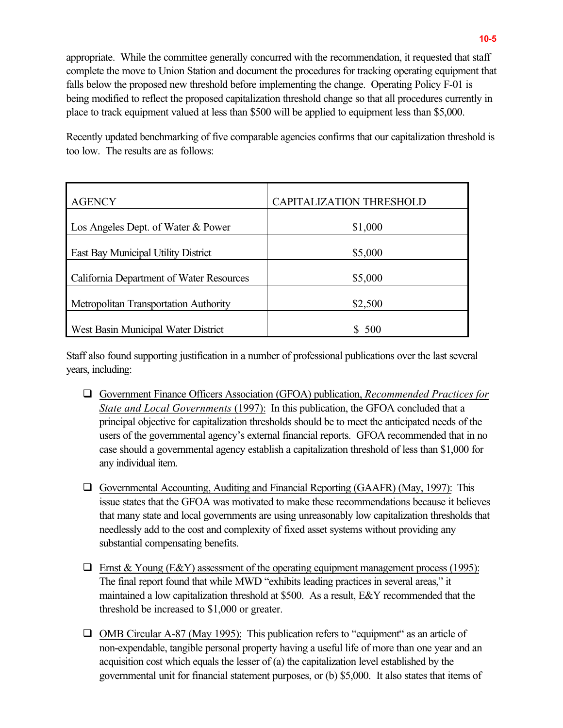appropriate. While the committee generally concurred with the recommendation, it requested that staff complete the move to Union Station and document the procedures for tracking operating equipment that falls below the proposed new threshold before implementing the change. Operating Policy F-01 is being modified to reflect the proposed capitalization threshold change so that all procedures currently in place to track equipment valued at less than \$500 will be applied to equipment less than \$5,000.

Recently updated benchmarking of five comparable agencies confirms that our capitalization threshold is too low. The results are as follows:

| <b>AGENCY</b>                            | CAPITALIZATION THRESHOLD |
|------------------------------------------|--------------------------|
| Los Angeles Dept. of Water & Power       | \$1,000                  |
| East Bay Municipal Utility District      | \$5,000                  |
| California Department of Water Resources | \$5,000                  |
| Metropolitan Transportation Authority    | \$2,500                  |
| West Basin Municipal Water District      | 500                      |

Staff also found supporting justification in a number of professional publications over the last several years, including:

- ! Government Finance Officers Association (GFOA) publication, *Recommended Practices for State and Local Governments* (1997): In this publication, the GFOA concluded that a principal objective for capitalization thresholds should be to meet the anticipated needs of the users of the governmental agency's external financial reports. GFOA recommended that in no case should a governmental agency establish a capitalization threshold of less than \$1,000 for any individual item.
- ! Governmental Accounting, Auditing and Financial Reporting (GAAFR) (May, 1997): This issue states that the GFOA was motivated to make these recommendations because it believes that many state and local governments are using unreasonably low capitalization thresholds that needlessly add to the cost and complexity of fixed asset systems without providing any substantial compensating benefits.
- $\Box$  Ernst & Young (E&Y) assessment of the operating equipment management process (1995): The final report found that while MWD "exhibits leading practices in several areas," it maintained a low capitalization threshold at \$500. As a result, E&Y recommended that the threshold be increased to \$1,000 or greater.
- $\Box$  OMB Circular A-87 (May 1995): This publication refers to "equipment" as an article of non-expendable, tangible personal property having a useful life of more than one year and an acquisition cost which equals the lesser of (a) the capitalization level established by the governmental unit for financial statement purposes, or (b) \$5,000. It also states that items of